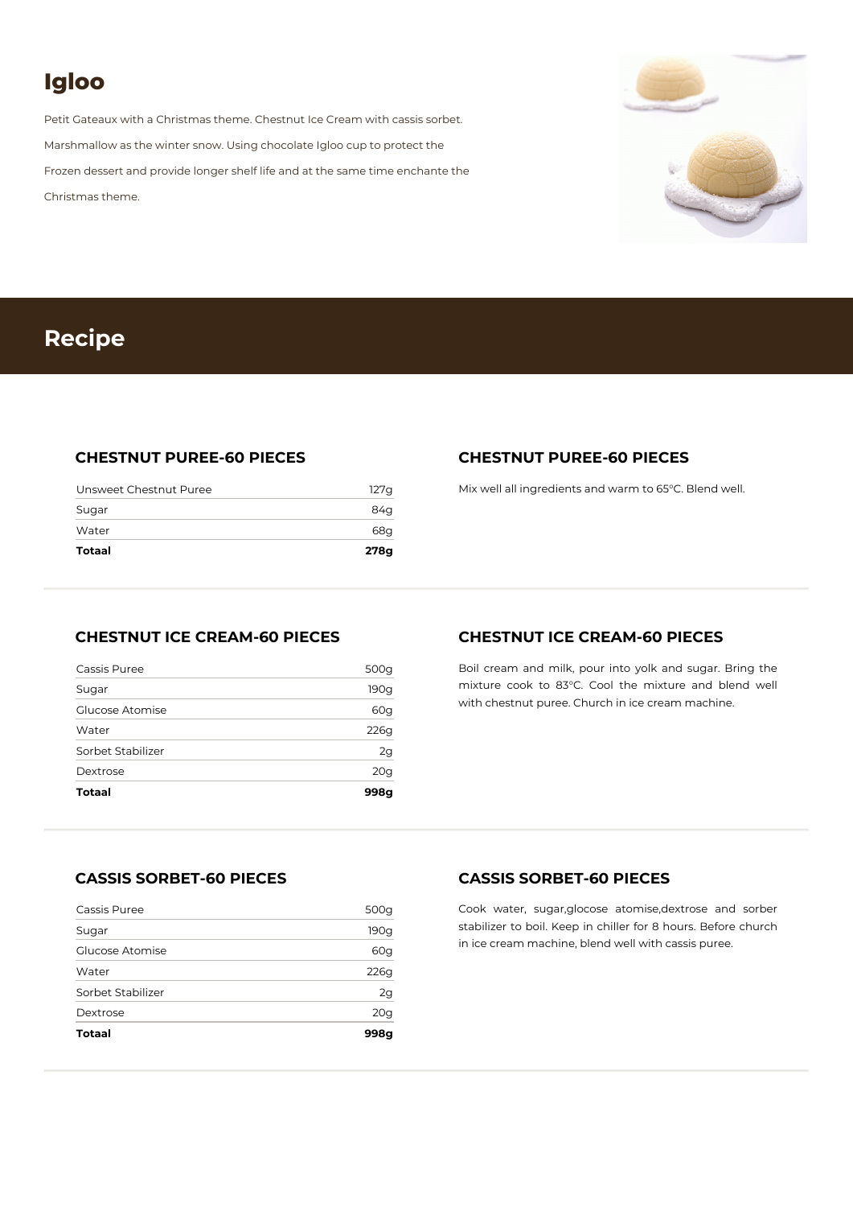# **Igloo**

Petit Gateaux with a Christmas theme. Chestnut Ice Cream with cassis sorbet. Marshmallow as the winter snow. Using chocolate Igloo cup to protect the Frozen dessert and provide longer shelf life and at the same time enchante the Christmas theme.



## **Recipe**

#### **CHESTNUT PUREE-60 PIECES**

| Totaal                 | 278g  |
|------------------------|-------|
| Water                  | 68q   |
| Sugar                  | 84g   |
| Unsweet Chestnut Puree | 127 q |

#### **CHESTNUT PUREE-60 PIECES**

Mix well all ingredients and warm to 65°C. Blend well.

#### **CHESTNUT ICE CREAM-60 PIECES**

| <b>Totaal</b>     | 998g            |
|-------------------|-----------------|
| Dextrose          | 20 <sub>g</sub> |
| Sorbet Stabilizer | 2g              |
| Water             | 226g            |
| Glucose Atomise   | 60g             |
| Sugar             | 190g            |
| Cassis Puree      | 500g            |

#### **CHESTNUT ICE CREAM-60 PIECES**

Boil cream and milk, pour into yolk and sugar. Bring the mixture cook to 83°C. Cool the mixture and blend well with chestnut puree. Church in ice cream machine.

### **CASSIS SORBET-60 PIECES**

| <b>Totaal</b>     | 998a |
|-------------------|------|
| Dextrose          | 20g  |
| Sorbet Stabilizer | 2g   |
| Water             | 226g |
| Glucose Atomise   | 60g  |
| Sugar             | 190g |
| Cassis Puree      | 500g |

#### **CASSIS SORBET-60 PIECES**

Cook water, sugar,glocose atomise,dextrose and sorber stabilizer to boil. Keep in chiller for 8 hours. Before church in ice cream machine, blend well with cassis puree.